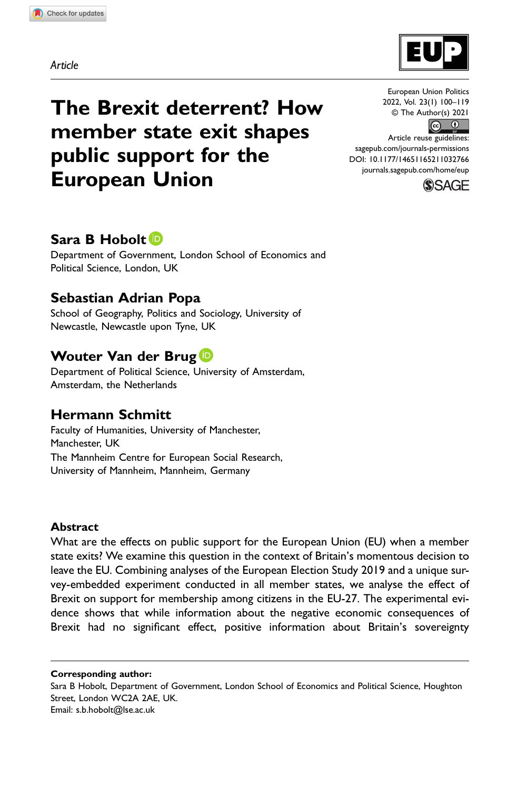Article



The Brexit deterrent? How member state exit shapes public support for the European Union

# European Union Politics 2022, Vol. 23(1) 100–119



Article reuse guidelines: [sagepub.com/journals-permissions](https://us.sagepub.com/en-us/journals-permissions) DOI: 10.1177/14651165211032766 [journals.sagepub.com/home/eup](https://journals.sagepub.com/home/eup)



# Sara B Hobolt<sup>D</sup>

Department of Government, London School of Economics and Political Science, London, UK

# Sebastian Adrian Popa

School of Geography, Politics and Sociology, University of Newcastle, Newcastle upon Tyne, UK

# Wouter Van der Brug D

Department of Political Science, University of Amsterdam, Amsterdam, the Netherlands

# Hermann Schmitt

Faculty of Humanities, University of Manchester, Manchester, UK The Mannheim Centre for European Social Research, University of Mannheim, Mannheim, Germany

### Abstract

What are the effects on public support for the European Union (EU) when a member state exits? We examine this question in the context of Britain's momentous decision to leave the EU. Combining analyses of the European Election Study 2019 and a unique survey-embedded experiment conducted in all member states, we analyse the effect of Brexit on support for membership among citizens in the EU-27. The experimental evidence shows that while information about the negative economic consequences of Brexit had no significant effect, positive information about Britain's sovereignty

Corresponding author:

Sara B Hobolt, Department of Government, London School of Economics and Political Science, Houghton Street, London WC2A 2AE, UK. Email: [s.b.hobolt@lse.ac.uk](mailto:s.b.hobolt@lse.ac.uk)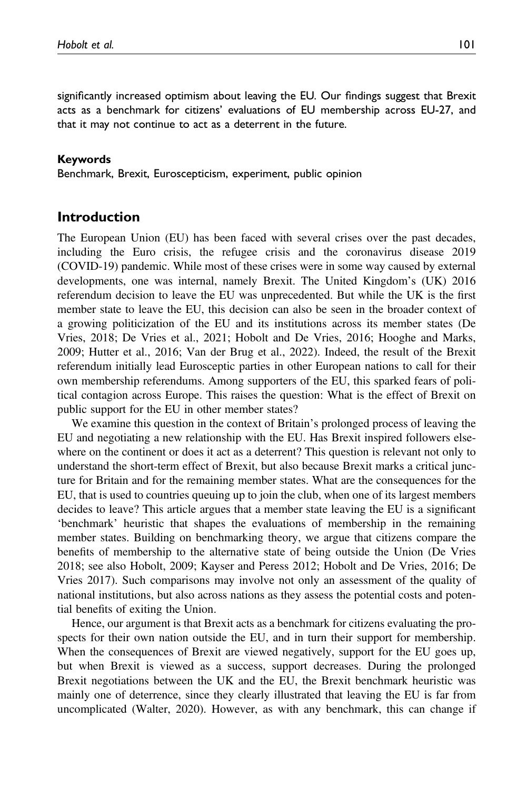significantly increased optimism about leaving the EU. Our findings suggest that Brexit acts as a benchmark for citizens' evaluations of EU membership across EU-27, and that it may not continue to act as a deterrent in the future.

#### Keywords

Benchmark, Brexit, Euroscepticism, experiment, public opinion

## Introduction

The European Union (EU) has been faced with several crises over the past decades, including the Euro crisis, the refugee crisis and the coronavirus disease 2019 (COVID-19) pandemic. While most of these crises were in some way caused by external developments, one was internal, namely Brexit. The United Kingdom's (UK) 2016 referendum decision to leave the EU was unprecedented. But while the UK is the first member state to leave the EU, this decision can also be seen in the broader context of a growing politicization of the EU and its institutions across its member states (De Vries, 2018; De Vries et al., 2021; Hobolt and De Vries, 2016; Hooghe and Marks, 2009; Hutter et al., 2016; Van der Brug et al., 2022). Indeed, the result of the Brexit referendum initially lead Eurosceptic parties in other European nations to call for their own membership referendums. Among supporters of the EU, this sparked fears of political contagion across Europe. This raises the question: What is the effect of Brexit on public support for the EU in other member states?

We examine this question in the context of Britain's prolonged process of leaving the EU and negotiating a new relationship with the EU. Has Brexit inspired followers elsewhere on the continent or does it act as a deterrent? This question is relevant not only to understand the short-term effect of Brexit, but also because Brexit marks a critical juncture for Britain and for the remaining member states. What are the consequences for the EU, that is used to countries queuing up to join the club, when one of its largest members decides to leave? This article argues that a member state leaving the EU is a significant 'benchmark' heuristic that shapes the evaluations of membership in the remaining member states. Building on benchmarking theory, we argue that citizens compare the benefits of membership to the alternative state of being outside the Union (De Vries 2018; see also Hobolt, 2009; Kayser and Peress 2012; Hobolt and De Vries, 2016; De Vries 2017). Such comparisons may involve not only an assessment of the quality of national institutions, but also across nations as they assess the potential costs and potential benefits of exiting the Union.

Hence, our argument is that Brexit acts as a benchmark for citizens evaluating the prospects for their own nation outside the EU, and in turn their support for membership. When the consequences of Brexit are viewed negatively, support for the EU goes up, but when Brexit is viewed as a success, support decreases. During the prolonged Brexit negotiations between the UK and the EU, the Brexit benchmark heuristic was mainly one of deterrence, since they clearly illustrated that leaving the EU is far from uncomplicated (Walter, 2020). However, as with any benchmark, this can change if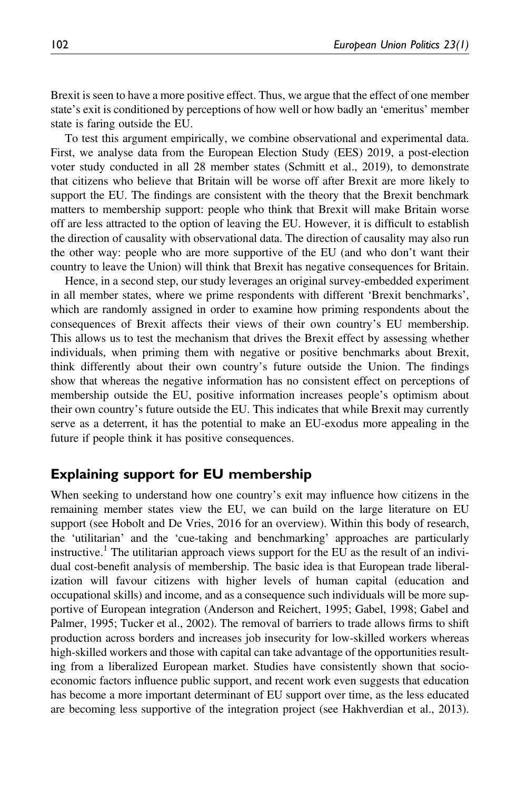Brexit is seen to have a more positive effect. Thus, we argue that the effect of one member state's exit is conditioned by perceptions of how well or how badly an 'emeritus' member state is faring outside the EU.

To test this argument empirically, we combine observational and experimental data. First, we analyse data from the European Election Study (EES) 2019, a post-election voter study conducted in all 28 member states (Schmitt et al., 2019), to demonstrate that citizens who believe that Britain will be worse off after Brexit are more likely to support the EU. The findings are consistent with the theory that the Brexit benchmark matters to membership support: people who think that Brexit will make Britain worse off are less attracted to the option of leaving the EU. However, it is difficult to establish the direction of causality with observational data. The direction of causality may also run the other way: people who are more supportive of the EU (and who don't want their country to leave the Union) will think that Brexit has negative consequences for Britain.

Hence, in a second step, our study leverages an original survey-embedded experiment in all member states, where we prime respondents with different 'Brexit benchmarks', which are randomly assigned in order to examine how priming respondents about the consequences of Brexit affects their views of their own country's EU membership. This allows us to test the mechanism that drives the Brexit effect by assessing whether individuals, when priming them with negative or positive benchmarks about Brexit, think differently about their own country's future outside the Union. The findings show that whereas the negative information has no consistent effect on perceptions of membership outside the EU, positive information increases people's optimism about their own country's future outside the EU. This indicates that while Brexit may currently serve as a deterrent, it has the potential to make an EU-exodus more appealing in the future if people think it has positive consequences.

### Explaining support for EU membership

When seeking to understand how one country's exit may influence how citizens in the remaining member states view the EU, we can build on the large literature on EU support (see Hobolt and De Vries, 2016 for an overview). Within this body of research, the 'utilitarian' and the 'cue-taking and benchmarking' approaches are particularly instructive.<sup>1</sup> The utilitarian approach views support for the EU as the result of an individual cost-benefit analysis of membership. The basic idea is that European trade liberalization will favour citizens with higher levels of human capital (education and occupational skills) and income, and as a consequence such individuals will be more supportive of European integration (Anderson and Reichert, 1995; Gabel, 1998; Gabel and Palmer, 1995; Tucker et al., 2002). The removal of barriers to trade allows firms to shift production across borders and increases job insecurity for low-skilled workers whereas high-skilled workers and those with capital can take advantage of the opportunities resulting from a liberalized European market. Studies have consistently shown that socioeconomic factors influence public support, and recent work even suggests that education has become a more important determinant of EU support over time, as the less educated are becoming less supportive of the integration project (see Hakhverdian et al., 2013).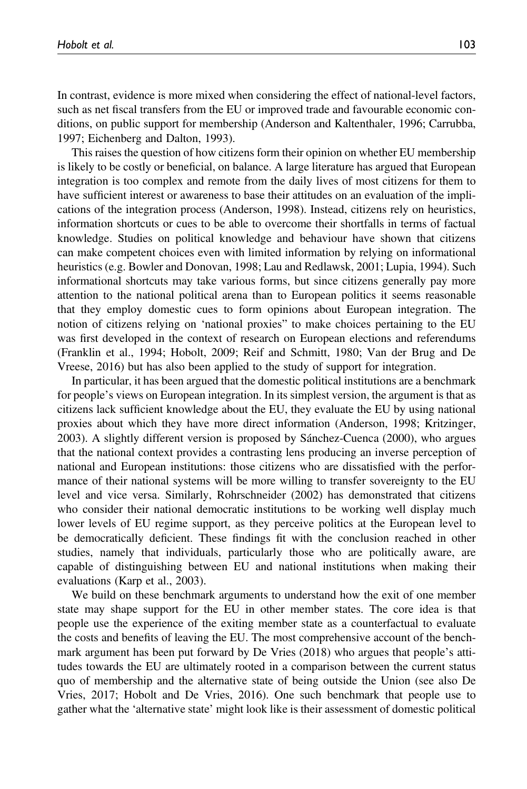In contrast, evidence is more mixed when considering the effect of national-level factors, such as net fiscal transfers from the EU or improved trade and favourable economic conditions, on public support for membership (Anderson and Kaltenthaler, 1996; Carrubba, 1997; Eichenberg and Dalton, 1993).

This raises the question of how citizens form their opinion on whether EU membership is likely to be costly or beneficial, on balance. A large literature has argued that European integration is too complex and remote from the daily lives of most citizens for them to have sufficient interest or awareness to base their attitudes on an evaluation of the implications of the integration process (Anderson, 1998). Instead, citizens rely on heuristics, information shortcuts or cues to be able to overcome their shortfalls in terms of factual knowledge. Studies on political knowledge and behaviour have shown that citizens can make competent choices even with limited information by relying on informational heuristics (e.g. Bowler and Donovan, 1998; Lau and Redlawsk, 2001; Lupia, 1994). Such informational shortcuts may take various forms, but since citizens generally pay more attention to the national political arena than to European politics it seems reasonable that they employ domestic cues to form opinions about European integration. The notion of citizens relying on 'national proxies" to make choices pertaining to the EU was first developed in the context of research on European elections and referendums (Franklin et al., 1994; Hobolt, 2009; Reif and Schmitt, 1980; Van der Brug and De Vreese, 2016) but has also been applied to the study of support for integration.

In particular, it has been argued that the domestic political institutions are a benchmark for people's views on European integration. In its simplest version, the argument is that as citizens lack sufficient knowledge about the EU, they evaluate the EU by using national proxies about which they have more direct information (Anderson, 1998; Kritzinger, 2003). A slightly different version is proposed by Sánchez-Cuenca (2000), who argues that the national context provides a contrasting lens producing an inverse perception of national and European institutions: those citizens who are dissatisfied with the performance of their national systems will be more willing to transfer sovereignty to the EU level and vice versa. Similarly, Rohrschneider (2002) has demonstrated that citizens who consider their national democratic institutions to be working well display much lower levels of EU regime support, as they perceive politics at the European level to be democratically deficient. These findings fit with the conclusion reached in other studies, namely that individuals, particularly those who are politically aware, are capable of distinguishing between EU and national institutions when making their evaluations (Karp et al., 2003).

We build on these benchmark arguments to understand how the exit of one member state may shape support for the EU in other member states. The core idea is that people use the experience of the exiting member state as a counterfactual to evaluate the costs and benefits of leaving the EU. The most comprehensive account of the benchmark argument has been put forward by De Vries (2018) who argues that people's attitudes towards the EU are ultimately rooted in a comparison between the current status quo of membership and the alternative state of being outside the Union (see also De Vries, 2017; Hobolt and De Vries, 2016). One such benchmark that people use to gather what the 'alternative state' might look like is their assessment of domestic political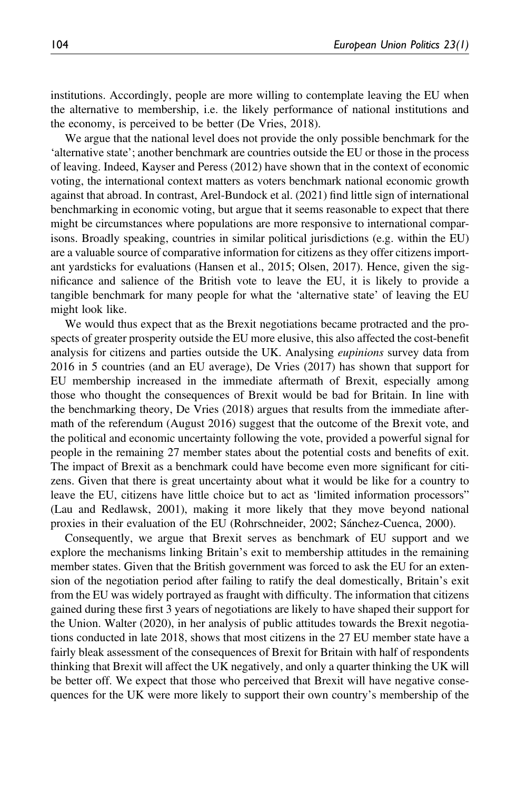institutions. Accordingly, people are more willing to contemplate leaving the EU when the alternative to membership, i.e. the likely performance of national institutions and the economy, is perceived to be better (De Vries, 2018).

We argue that the national level does not provide the only possible benchmark for the 'alternative state'; another benchmark are countries outside the EU or those in the process of leaving. Indeed, Kayser and Peress (2012) have shown that in the context of economic voting, the international context matters as voters benchmark national economic growth against that abroad. In contrast, Arel-Bundock et al. (2021) find little sign of international benchmarking in economic voting, but argue that it seems reasonable to expect that there might be circumstances where populations are more responsive to international comparisons. Broadly speaking, countries in similar political jurisdictions (e.g. within the EU) are a valuable source of comparative information for citizens as they offer citizens important yardsticks for evaluations (Hansen et al., 2015; Olsen, 2017). Hence, given the significance and salience of the British vote to leave the EU, it is likely to provide a tangible benchmark for many people for what the 'alternative state' of leaving the EU might look like.

We would thus expect that as the Brexit negotiations became protracted and the prospects of greater prosperity outside the EU more elusive, this also affected the cost-benefit analysis for citizens and parties outside the UK. Analysing *eupinions* survey data from 2016 in 5 countries (and an EU average), De Vries (2017) has shown that support for EU membership increased in the immediate aftermath of Brexit, especially among those who thought the consequences of Brexit would be bad for Britain. In line with the benchmarking theory, De Vries (2018) argues that results from the immediate aftermath of the referendum (August 2016) suggest that the outcome of the Brexit vote, and the political and economic uncertainty following the vote, provided a powerful signal for people in the remaining 27 member states about the potential costs and benefits of exit. The impact of Brexit as a benchmark could have become even more significant for citizens. Given that there is great uncertainty about what it would be like for a country to leave the EU, citizens have little choice but to act as 'limited information processors" (Lau and Redlawsk, 2001), making it more likely that they move beyond national proxies in their evaluation of the EU (Rohrschneider, 2002; Sánchez-Cuenca, 2000).

Consequently, we argue that Brexit serves as benchmark of EU support and we explore the mechanisms linking Britain's exit to membership attitudes in the remaining member states. Given that the British government was forced to ask the EU for an extension of the negotiation period after failing to ratify the deal domestically, Britain's exit from the EU was widely portrayed as fraught with difficulty. The information that citizens gained during these first 3 years of negotiations are likely to have shaped their support for the Union. Walter (2020), in her analysis of public attitudes towards the Brexit negotiations conducted in late 2018, shows that most citizens in the 27 EU member state have a fairly bleak assessment of the consequences of Brexit for Britain with half of respondents thinking that Brexit will affect the UK negatively, and only a quarter thinking the UK will be better off. We expect that those who perceived that Brexit will have negative consequences for the UK were more likely to support their own country's membership of the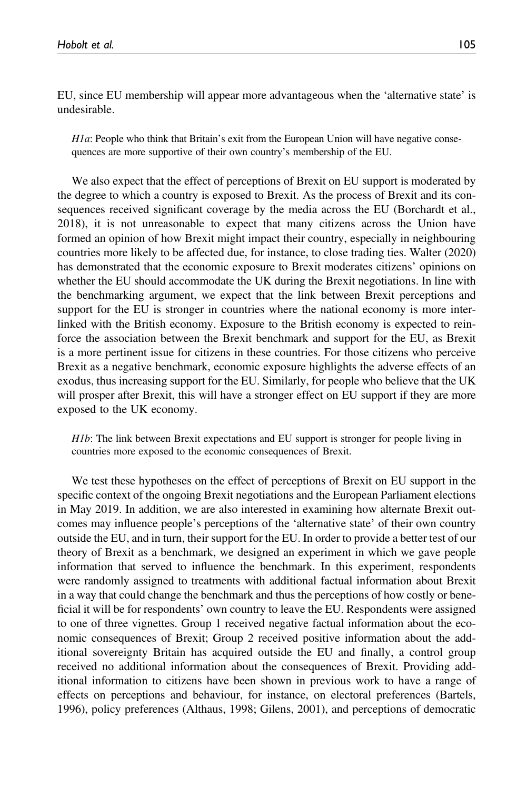EU, since EU membership will appear more advantageous when the 'alternative state' is undesirable.

 $H1a$ : People who think that Britain's exit from the European Union will have negative consequences are more supportive of their own country's membership of the EU.

We also expect that the effect of perceptions of Brexit on EU support is moderated by the degree to which a country is exposed to Brexit. As the process of Brexit and its consequences received significant coverage by the media across the EU (Borchardt et al., 2018), it is not unreasonable to expect that many citizens across the Union have formed an opinion of how Brexit might impact their country, especially in neighbouring countries more likely to be affected due, for instance, to close trading ties. Walter (2020) has demonstrated that the economic exposure to Brexit moderates citizens' opinions on whether the EU should accommodate the UK during the Brexit negotiations. In line with the benchmarking argument, we expect that the link between Brexit perceptions and support for the EU is stronger in countries where the national economy is more interlinked with the British economy. Exposure to the British economy is expected to reinforce the association between the Brexit benchmark and support for the EU, as Brexit is a more pertinent issue for citizens in these countries. For those citizens who perceive Brexit as a negative benchmark, economic exposure highlights the adverse effects of an exodus, thus increasing support for the EU. Similarly, for people who believe that the UK will prosper after Brexit, this will have a stronger effect on EU support if they are more exposed to the UK economy.

H1b: The link between Brexit expectations and EU support is stronger for people living in countries more exposed to the economic consequences of Brexit.

We test these hypotheses on the effect of perceptions of Brexit on EU support in the specific context of the ongoing Brexit negotiations and the European Parliament elections in May 2019. In addition, we are also interested in examining how alternate Brexit outcomes may influence people's perceptions of the 'alternative state' of their own country outside the EU, and in turn, their support for the EU. In order to provide a better test of our theory of Brexit as a benchmark, we designed an experiment in which we gave people information that served to influence the benchmark. In this experiment, respondents were randomly assigned to treatments with additional factual information about Brexit in a way that could change the benchmark and thus the perceptions of how costly or beneficial it will be for respondents' own country to leave the EU. Respondents were assigned to one of three vignettes. Group 1 received negative factual information about the economic consequences of Brexit; Group 2 received positive information about the additional sovereignty Britain has acquired outside the EU and finally, a control group received no additional information about the consequences of Brexit. Providing additional information to citizens have been shown in previous work to have a range of effects on perceptions and behaviour, for instance, on electoral preferences (Bartels, 1996), policy preferences (Althaus, 1998; Gilens, 2001), and perceptions of democratic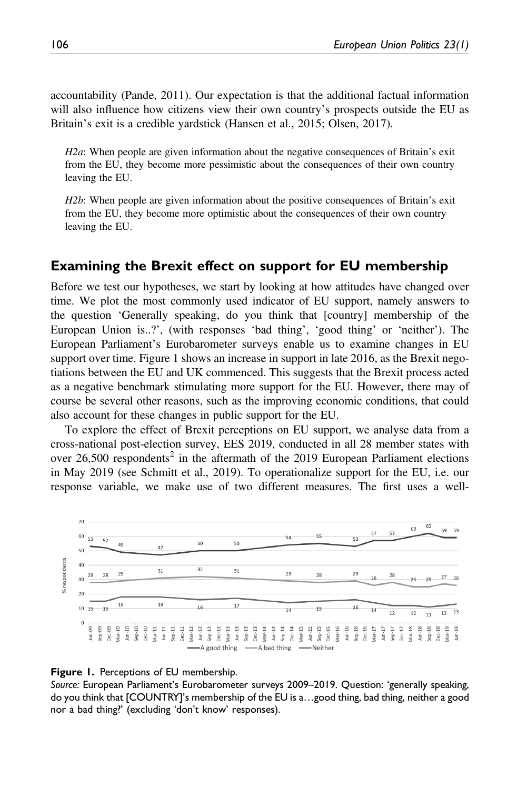accountability (Pande, 2011). Our expectation is that the additional factual information will also influence how citizens view their own country's prospects outside the EU as Britain's exit is a credible yardstick (Hansen et al., 2015; Olsen, 2017).

 $H2a$ : When people are given information about the negative consequences of Britain's exit from the EU, they become more pessimistic about the consequences of their own country leaving the EU.

H2b: When people are given information about the positive consequences of Britain's exit from the EU, they become more optimistic about the consequences of their own country leaving the EU.

### Examining the Brexit effect on support for EU membership

Before we test our hypotheses, we start by looking at how attitudes have changed over time. We plot the most commonly used indicator of EU support, namely answers to the question 'Generally speaking, do you think that [country] membership of the European Union is..?', (with responses 'bad thing', 'good thing' or 'neither'). The European Parliament's Eurobarometer surveys enable us to examine changes in EU support over time. Figure 1 shows an increase in support in late 2016, as the Brexit negotiations between the EU and UK commenced. This suggests that the Brexit process acted as a negative benchmark stimulating more support for the EU. However, there may of course be several other reasons, such as the improving economic conditions, that could also account for these changes in public support for the EU.

To explore the effect of Brexit perceptions on EU support, we analyse data from a cross-national post-election survey, EES 2019, conducted in all 28 member states with over 26,500 respondents<sup>2</sup> in the aftermath of the 2019 European Parliament elections in May 2019 (see Schmitt et al., 2019). To operationalize support for the EU, i.e. our response variable, we make use of two different measures. The first uses a well-



#### **Figure 1.** Perceptions of EU membership.

Source: European Parliament's Eurobarometer surveys 2009–2019. Question: 'generally speaking, do you think that [COUNTRY]'s membership of the EU is a…good thing, bad thing, neither a good nor a bad thing?' (excluding 'don't know' responses).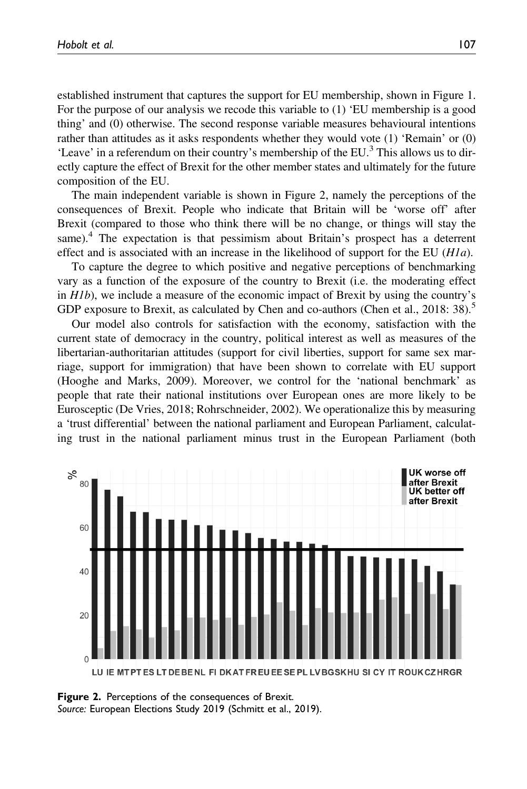established instrument that captures the support for EU membership, shown in Figure 1. For the purpose of our analysis we recode this variable to (1) 'EU membership is a good thing' and (0) otherwise. The second response variable measures behavioural intentions rather than attitudes as it asks respondents whether they would vote (1) 'Remain' or (0) 'Leave' in a referendum on their country's membership of the EU.<sup>3</sup> This allows us to directly capture the effect of Brexit for the other member states and ultimately for the future composition of the EU.

The main independent variable is shown in Figure 2, namely the perceptions of the consequences of Brexit. People who indicate that Britain will be 'worse off' after Brexit (compared to those who think there will be no change, or things will stay the same).<sup>4</sup> The expectation is that pessimism about Britain's prospect has a deterrent effect and is associated with an increase in the likelihood of support for the EU  $(H1a)$ .

To capture the degree to which positive and negative perceptions of benchmarking vary as a function of the exposure of the country to Brexit (i.e. the moderating effect in H1b), we include a measure of the economic impact of Brexit by using the country's GDP exposure to Brexit, as calculated by Chen and co-authors (Chen et al., 2018: 38).<sup>5</sup>

Our model also controls for satisfaction with the economy, satisfaction with the current state of democracy in the country, political interest as well as measures of the libertarian-authoritarian attitudes (support for civil liberties, support for same sex marriage, support for immigration) that have been shown to correlate with EU support (Hooghe and Marks, 2009). Moreover, we control for the 'national benchmark' as people that rate their national institutions over European ones are more likely to be Eurosceptic (De Vries, 2018; Rohrschneider, 2002). We operationalize this by measuring a 'trust differential' between the national parliament and European Parliament, calculating trust in the national parliament minus trust in the European Parliament (both



**Figure 2.** Perceptions of the consequences of Brexit. Source: European Elections Study 2019 (Schmitt et al., 2019).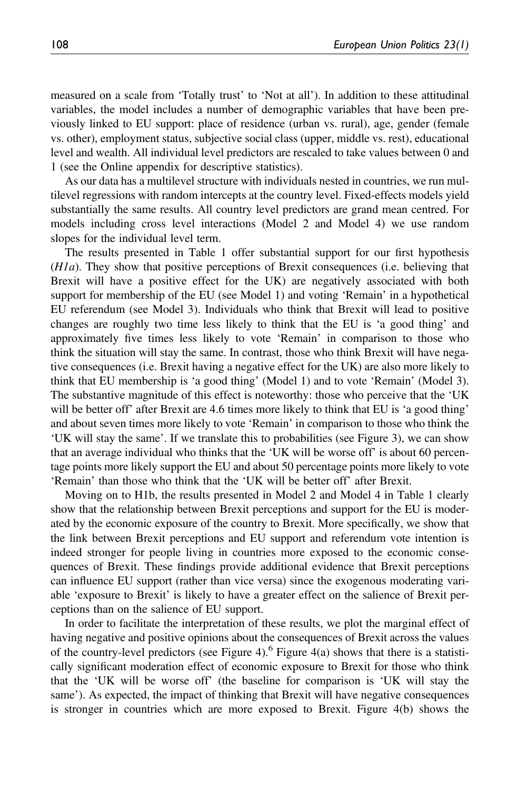measured on a scale from 'Totally trust' to 'Not at all'). In addition to these attitudinal variables, the model includes a number of demographic variables that have been previously linked to EU support: place of residence (urban vs. rural), age, gender (female vs. other), employment status, subjective social class (upper, middle vs. rest), educational level and wealth. All individual level predictors are rescaled to take values between 0 and 1 (see the Online appendix for descriptive statistics).

As our data has a multilevel structure with individuals nested in countries, we run multilevel regressions with random intercepts at the country level. Fixed-effects models yield substantially the same results. All country level predictors are grand mean centred. For models including cross level interactions (Model 2 and Model 4) we use random slopes for the individual level term.

The results presented in Table 1 offer substantial support for our first hypothesis (H1a). They show that positive perceptions of Brexit consequences (i.e. believing that Brexit will have a positive effect for the UK) are negatively associated with both support for membership of the EU (see Model 1) and voting 'Remain' in a hypothetical EU referendum (see Model 3). Individuals who think that Brexit will lead to positive changes are roughly two time less likely to think that the EU is 'a good thing' and approximately five times less likely to vote 'Remain' in comparison to those who think the situation will stay the same. In contrast, those who think Brexit will have negative consequences (i.e. Brexit having a negative effect for the UK) are also more likely to think that EU membership is 'a good thing' (Model 1) and to vote 'Remain' (Model 3). The substantive magnitude of this effect is noteworthy: those who perceive that the 'UK will be better off' after Brexit are 4.6 times more likely to think that EU is 'a good thing' and about seven times more likely to vote 'Remain' in comparison to those who think the 'UK will stay the same'. If we translate this to probabilities (see Figure 3), we can show that an average individual who thinks that the 'UK will be worse off' is about 60 percentage points more likely support the EU and about 50 percentage points more likely to vote 'Remain' than those who think that the 'UK will be better off' after Brexit.

Moving on to H1b, the results presented in Model 2 and Model 4 in Table 1 clearly show that the relationship between Brexit perceptions and support for the EU is moderated by the economic exposure of the country to Brexit. More specifically, we show that the link between Brexit perceptions and EU support and referendum vote intention is indeed stronger for people living in countries more exposed to the economic consequences of Brexit. These findings provide additional evidence that Brexit perceptions can influence EU support (rather than vice versa) since the exogenous moderating variable 'exposure to Brexit' is likely to have a greater effect on the salience of Brexit perceptions than on the salience of EU support.

In order to facilitate the interpretation of these results, we plot the marginal effect of having negative and positive opinions about the consequences of Brexit across the values of the country-level predictors (see Figure 4).<sup>6</sup> Figure 4(a) shows that there is a statistically significant moderation effect of economic exposure to Brexit for those who think that the 'UK will be worse off' (the baseline for comparison is 'UK will stay the same'). As expected, the impact of thinking that Brexit will have negative consequences is stronger in countries which are more exposed to Brexit. Figure 4(b) shows the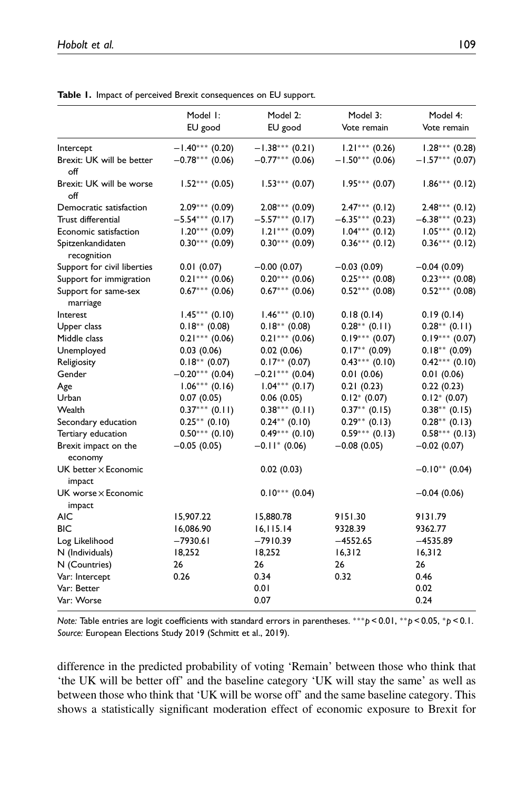| $-1.40***$ (0.20)<br>$-1.38***$ (0.21)<br>$1.21***$ (0.26)<br>Intercept<br>Brexit: UK will be better<br>$-0.78***$ (0.06)<br>$-0.77***$ (0.06)<br>$-1.50***(0.06)$<br>off<br>Brexit: UK will be worse<br>$1.53***(0.07)$<br>$1.95***(0.07)$<br>$1.52***(0.05)$<br>off<br>$2.09***$ (0.09)<br>$2.08***(0.09)$<br>$2.47***$ (0.12)<br>Democratic satisfaction<br>Trust differential<br>$-5.54***$ (0.17)<br>$-5.57***$ (0.17)<br>$-6.35***$ (0.23)<br>$1.20***$ (0.09)<br>$1.04***$ (0.12)<br>Economic satisfaction<br>$1.21***$ (0.09)<br>$0.30***$ (0.09)<br>$0.30***(0.09)$<br>$0.36***$ (0.12)<br>Spitzenkandidaten<br>recognition<br>Support for civil liberties<br>0.01(0.07)<br>$-0.00(0.07)$<br>$-0.03(0.09)$<br>$-0.04(0.09)$<br>$0.25***$ (0.08)<br>Support for immigration<br>$0.21***$ (0.06)<br>$0.20***$ (0.06)<br>$0.67***$ (0.06)<br>$0.52***$ (0.08)<br>Support for same-sex<br>$0.67***$ (0.06)<br>marriage<br>$1.45***$ (0.10)<br>$1.46***(0.10)$<br>Interest<br>0.18(0.14)<br>0.19(0.14)<br>$0.18**$ (0.08)<br>$0.18**$ (0.08)<br>$0.28**$ (0.11)<br>$0.28**$ (0.11)<br>Upper class<br>$0.19***$ (0.07)<br>$0.21***$ (0.06)<br>$0.21***$ (0.06)<br>Middle class<br>$0.17**$ (0.09)<br>$0.18***$ (0.09)<br>0.03(0.06)<br>0.02(0.06)<br>Unemployed<br>$0.17**$ (0.07)<br>$0.43***$ (0.10)<br>$0.18**$ (0.07)<br>Religiosity<br>$-0.21***$ (0.04)<br>$-0.20***$ (0.04)<br>0.01(0.06)<br>Gender<br>0.01(0.06)<br>$1.06***$ (0.16)<br>$1.04***$ (0.17)<br>0.21(0.23)<br>0.22(0.23)<br>Age<br>$0.12^* (0.07)$<br>$0.12^* (0.07)$<br>Urban<br>0.07(0.05)<br>0.06(0.05)<br>$0.37***$ (0.11)<br>$0.38***$ (0.11)<br>$0.37**$ (0.15)<br>$0.38**$ (0.15)<br>Wealth<br>$0.29**$ (0.13)<br>$0.28**$ (0.13)<br>$0.25**$ (0.10)<br>$0.24***$ (0.10)<br>Secondary education<br>$0.50***$ (0.10)<br>$0.49***$ (0.10)<br>$0.59***$ (0.13)<br>Tertiary education<br>$-0.11$ * (0.06)<br>Brexit impact on the<br>$-0.05(0.05)$<br>$-0.08(0.05)$<br>$-0.02(0.07)$<br>economy<br>UK better $\times$ Economic<br>$-0.10**$ (0.04)<br>0.02(0.03)<br>impact<br>$0.10***$ (0.04)<br>UK worse $\times$ Economic<br>$-0.04(0.06)$<br>impact<br><b>AIC</b><br>15,907.22<br>15,880.78<br>9151.30<br>9131.79<br><b>BIC</b><br>16,086.90<br>16, 115.14<br>9328.39<br>9362.77<br>$-7930.61$<br>$-7910.39$<br>$-4552.65$<br>$-4535.89$<br>Log Likelihood<br>18,252<br>18,252<br>16,312<br>16,312<br>N (Individuals)<br>N (Countries)<br>26<br>26<br>26<br>26<br>Var: Intercept<br>0.32<br>0.26<br>0.34<br>0.46<br>Var: Better<br>0.02<br>0.01<br>Var: Worse<br>0.24<br>0.07 | Model I:<br>EU good | Model 2:<br>EU good | Model 3:<br>Vote remain | Model 4:<br>Vote remain |
|-------------------------------------------------------------------------------------------------------------------------------------------------------------------------------------------------------------------------------------------------------------------------------------------------------------------------------------------------------------------------------------------------------------------------------------------------------------------------------------------------------------------------------------------------------------------------------------------------------------------------------------------------------------------------------------------------------------------------------------------------------------------------------------------------------------------------------------------------------------------------------------------------------------------------------------------------------------------------------------------------------------------------------------------------------------------------------------------------------------------------------------------------------------------------------------------------------------------------------------------------------------------------------------------------------------------------------------------------------------------------------------------------------------------------------------------------------------------------------------------------------------------------------------------------------------------------------------------------------------------------------------------------------------------------------------------------------------------------------------------------------------------------------------------------------------------------------------------------------------------------------------------------------------------------------------------------------------------------------------------------------------------------------------------------------------------------------------------------------------------------------------------------------------------------------------------------------------------------------------------------------------------------------------------------------------------------------------------------------------------------------------------------------------------------------------------------------------------------------------------------------------------------------------------------------------|---------------------|---------------------|-------------------------|-------------------------|
| $-1.57***$ (0.07)<br>$1.86***(0.12)$<br>$2.48***$ (0.12)<br>$-6.38***$ (0.23)<br>$1.05***(0.12)$<br>$0.36***$ (0.12)<br>$0.23***$ (0.08)<br>$0.52***$ (0.08)<br>$0.19***$ (0.07)<br>$0.42***$ (0.10)<br>$0.58***(0.13)$                                                                                                                                                                                                                                                                                                                                                                                                                                                                                                                                                                                                                                                                                                                                                                                                                                                                                                                                                                                                                                                                                                                                                                                                                                                                                                                                                                                                                                                                                                                                                                                                                                                                                                                                                                                                                                                                                                                                                                                                                                                                                                                                                                                                                                                                                                                                     |                     |                     |                         | $1.28***$ (0.28)        |
|                                                                                                                                                                                                                                                                                                                                                                                                                                                                                                                                                                                                                                                                                                                                                                                                                                                                                                                                                                                                                                                                                                                                                                                                                                                                                                                                                                                                                                                                                                                                                                                                                                                                                                                                                                                                                                                                                                                                                                                                                                                                                                                                                                                                                                                                                                                                                                                                                                                                                                                                                             |                     |                     |                         |                         |
|                                                                                                                                                                                                                                                                                                                                                                                                                                                                                                                                                                                                                                                                                                                                                                                                                                                                                                                                                                                                                                                                                                                                                                                                                                                                                                                                                                                                                                                                                                                                                                                                                                                                                                                                                                                                                                                                                                                                                                                                                                                                                                                                                                                                                                                                                                                                                                                                                                                                                                                                                             |                     |                     |                         |                         |
|                                                                                                                                                                                                                                                                                                                                                                                                                                                                                                                                                                                                                                                                                                                                                                                                                                                                                                                                                                                                                                                                                                                                                                                                                                                                                                                                                                                                                                                                                                                                                                                                                                                                                                                                                                                                                                                                                                                                                                                                                                                                                                                                                                                                                                                                                                                                                                                                                                                                                                                                                             |                     |                     |                         |                         |
|                                                                                                                                                                                                                                                                                                                                                                                                                                                                                                                                                                                                                                                                                                                                                                                                                                                                                                                                                                                                                                                                                                                                                                                                                                                                                                                                                                                                                                                                                                                                                                                                                                                                                                                                                                                                                                                                                                                                                                                                                                                                                                                                                                                                                                                                                                                                                                                                                                                                                                                                                             |                     |                     |                         |                         |
|                                                                                                                                                                                                                                                                                                                                                                                                                                                                                                                                                                                                                                                                                                                                                                                                                                                                                                                                                                                                                                                                                                                                                                                                                                                                                                                                                                                                                                                                                                                                                                                                                                                                                                                                                                                                                                                                                                                                                                                                                                                                                                                                                                                                                                                                                                                                                                                                                                                                                                                                                             |                     |                     |                         |                         |
|                                                                                                                                                                                                                                                                                                                                                                                                                                                                                                                                                                                                                                                                                                                                                                                                                                                                                                                                                                                                                                                                                                                                                                                                                                                                                                                                                                                                                                                                                                                                                                                                                                                                                                                                                                                                                                                                                                                                                                                                                                                                                                                                                                                                                                                                                                                                                                                                                                                                                                                                                             |                     |                     |                         |                         |
|                                                                                                                                                                                                                                                                                                                                                                                                                                                                                                                                                                                                                                                                                                                                                                                                                                                                                                                                                                                                                                                                                                                                                                                                                                                                                                                                                                                                                                                                                                                                                                                                                                                                                                                                                                                                                                                                                                                                                                                                                                                                                                                                                                                                                                                                                                                                                                                                                                                                                                                                                             |                     |                     |                         |                         |
|                                                                                                                                                                                                                                                                                                                                                                                                                                                                                                                                                                                                                                                                                                                                                                                                                                                                                                                                                                                                                                                                                                                                                                                                                                                                                                                                                                                                                                                                                                                                                                                                                                                                                                                                                                                                                                                                                                                                                                                                                                                                                                                                                                                                                                                                                                                                                                                                                                                                                                                                                             |                     |                     |                         |                         |
|                                                                                                                                                                                                                                                                                                                                                                                                                                                                                                                                                                                                                                                                                                                                                                                                                                                                                                                                                                                                                                                                                                                                                                                                                                                                                                                                                                                                                                                                                                                                                                                                                                                                                                                                                                                                                                                                                                                                                                                                                                                                                                                                                                                                                                                                                                                                                                                                                                                                                                                                                             |                     |                     |                         |                         |
|                                                                                                                                                                                                                                                                                                                                                                                                                                                                                                                                                                                                                                                                                                                                                                                                                                                                                                                                                                                                                                                                                                                                                                                                                                                                                                                                                                                                                                                                                                                                                                                                                                                                                                                                                                                                                                                                                                                                                                                                                                                                                                                                                                                                                                                                                                                                                                                                                                                                                                                                                             |                     |                     |                         |                         |
|                                                                                                                                                                                                                                                                                                                                                                                                                                                                                                                                                                                                                                                                                                                                                                                                                                                                                                                                                                                                                                                                                                                                                                                                                                                                                                                                                                                                                                                                                                                                                                                                                                                                                                                                                                                                                                                                                                                                                                                                                                                                                                                                                                                                                                                                                                                                                                                                                                                                                                                                                             |                     |                     |                         |                         |
|                                                                                                                                                                                                                                                                                                                                                                                                                                                                                                                                                                                                                                                                                                                                                                                                                                                                                                                                                                                                                                                                                                                                                                                                                                                                                                                                                                                                                                                                                                                                                                                                                                                                                                                                                                                                                                                                                                                                                                                                                                                                                                                                                                                                                                                                                                                                                                                                                                                                                                                                                             |                     |                     |                         |                         |
|                                                                                                                                                                                                                                                                                                                                                                                                                                                                                                                                                                                                                                                                                                                                                                                                                                                                                                                                                                                                                                                                                                                                                                                                                                                                                                                                                                                                                                                                                                                                                                                                                                                                                                                                                                                                                                                                                                                                                                                                                                                                                                                                                                                                                                                                                                                                                                                                                                                                                                                                                             |                     |                     |                         |                         |
|                                                                                                                                                                                                                                                                                                                                                                                                                                                                                                                                                                                                                                                                                                                                                                                                                                                                                                                                                                                                                                                                                                                                                                                                                                                                                                                                                                                                                                                                                                                                                                                                                                                                                                                                                                                                                                                                                                                                                                                                                                                                                                                                                                                                                                                                                                                                                                                                                                                                                                                                                             |                     |                     |                         |                         |
|                                                                                                                                                                                                                                                                                                                                                                                                                                                                                                                                                                                                                                                                                                                                                                                                                                                                                                                                                                                                                                                                                                                                                                                                                                                                                                                                                                                                                                                                                                                                                                                                                                                                                                                                                                                                                                                                                                                                                                                                                                                                                                                                                                                                                                                                                                                                                                                                                                                                                                                                                             |                     |                     |                         |                         |
|                                                                                                                                                                                                                                                                                                                                                                                                                                                                                                                                                                                                                                                                                                                                                                                                                                                                                                                                                                                                                                                                                                                                                                                                                                                                                                                                                                                                                                                                                                                                                                                                                                                                                                                                                                                                                                                                                                                                                                                                                                                                                                                                                                                                                                                                                                                                                                                                                                                                                                                                                             |                     |                     |                         |                         |
|                                                                                                                                                                                                                                                                                                                                                                                                                                                                                                                                                                                                                                                                                                                                                                                                                                                                                                                                                                                                                                                                                                                                                                                                                                                                                                                                                                                                                                                                                                                                                                                                                                                                                                                                                                                                                                                                                                                                                                                                                                                                                                                                                                                                                                                                                                                                                                                                                                                                                                                                                             |                     |                     |                         |                         |
|                                                                                                                                                                                                                                                                                                                                                                                                                                                                                                                                                                                                                                                                                                                                                                                                                                                                                                                                                                                                                                                                                                                                                                                                                                                                                                                                                                                                                                                                                                                                                                                                                                                                                                                                                                                                                                                                                                                                                                                                                                                                                                                                                                                                                                                                                                                                                                                                                                                                                                                                                             |                     |                     |                         |                         |
|                                                                                                                                                                                                                                                                                                                                                                                                                                                                                                                                                                                                                                                                                                                                                                                                                                                                                                                                                                                                                                                                                                                                                                                                                                                                                                                                                                                                                                                                                                                                                                                                                                                                                                                                                                                                                                                                                                                                                                                                                                                                                                                                                                                                                                                                                                                                                                                                                                                                                                                                                             |                     |                     |                         |                         |
|                                                                                                                                                                                                                                                                                                                                                                                                                                                                                                                                                                                                                                                                                                                                                                                                                                                                                                                                                                                                                                                                                                                                                                                                                                                                                                                                                                                                                                                                                                                                                                                                                                                                                                                                                                                                                                                                                                                                                                                                                                                                                                                                                                                                                                                                                                                                                                                                                                                                                                                                                             |                     |                     |                         |                         |
|                                                                                                                                                                                                                                                                                                                                                                                                                                                                                                                                                                                                                                                                                                                                                                                                                                                                                                                                                                                                                                                                                                                                                                                                                                                                                                                                                                                                                                                                                                                                                                                                                                                                                                                                                                                                                                                                                                                                                                                                                                                                                                                                                                                                                                                                                                                                                                                                                                                                                                                                                             |                     |                     |                         |                         |
|                                                                                                                                                                                                                                                                                                                                                                                                                                                                                                                                                                                                                                                                                                                                                                                                                                                                                                                                                                                                                                                                                                                                                                                                                                                                                                                                                                                                                                                                                                                                                                                                                                                                                                                                                                                                                                                                                                                                                                                                                                                                                                                                                                                                                                                                                                                                                                                                                                                                                                                                                             |                     |                     |                         |                         |
|                                                                                                                                                                                                                                                                                                                                                                                                                                                                                                                                                                                                                                                                                                                                                                                                                                                                                                                                                                                                                                                                                                                                                                                                                                                                                                                                                                                                                                                                                                                                                                                                                                                                                                                                                                                                                                                                                                                                                                                                                                                                                                                                                                                                                                                                                                                                                                                                                                                                                                                                                             |                     |                     |                         |                         |
|                                                                                                                                                                                                                                                                                                                                                                                                                                                                                                                                                                                                                                                                                                                                                                                                                                                                                                                                                                                                                                                                                                                                                                                                                                                                                                                                                                                                                                                                                                                                                                                                                                                                                                                                                                                                                                                                                                                                                                                                                                                                                                                                                                                                                                                                                                                                                                                                                                                                                                                                                             |                     |                     |                         |                         |
|                                                                                                                                                                                                                                                                                                                                                                                                                                                                                                                                                                                                                                                                                                                                                                                                                                                                                                                                                                                                                                                                                                                                                                                                                                                                                                                                                                                                                                                                                                                                                                                                                                                                                                                                                                                                                                                                                                                                                                                                                                                                                                                                                                                                                                                                                                                                                                                                                                                                                                                                                             |                     |                     |                         |                         |
|                                                                                                                                                                                                                                                                                                                                                                                                                                                                                                                                                                                                                                                                                                                                                                                                                                                                                                                                                                                                                                                                                                                                                                                                                                                                                                                                                                                                                                                                                                                                                                                                                                                                                                                                                                                                                                                                                                                                                                                                                                                                                                                                                                                                                                                                                                                                                                                                                                                                                                                                                             |                     |                     |                         |                         |
|                                                                                                                                                                                                                                                                                                                                                                                                                                                                                                                                                                                                                                                                                                                                                                                                                                                                                                                                                                                                                                                                                                                                                                                                                                                                                                                                                                                                                                                                                                                                                                                                                                                                                                                                                                                                                                                                                                                                                                                                                                                                                                                                                                                                                                                                                                                                                                                                                                                                                                                                                             |                     |                     |                         |                         |
|                                                                                                                                                                                                                                                                                                                                                                                                                                                                                                                                                                                                                                                                                                                                                                                                                                                                                                                                                                                                                                                                                                                                                                                                                                                                                                                                                                                                                                                                                                                                                                                                                                                                                                                                                                                                                                                                                                                                                                                                                                                                                                                                                                                                                                                                                                                                                                                                                                                                                                                                                             |                     |                     |                         |                         |
|                                                                                                                                                                                                                                                                                                                                                                                                                                                                                                                                                                                                                                                                                                                                                                                                                                                                                                                                                                                                                                                                                                                                                                                                                                                                                                                                                                                                                                                                                                                                                                                                                                                                                                                                                                                                                                                                                                                                                                                                                                                                                                                                                                                                                                                                                                                                                                                                                                                                                                                                                             |                     |                     |                         |                         |
|                                                                                                                                                                                                                                                                                                                                                                                                                                                                                                                                                                                                                                                                                                                                                                                                                                                                                                                                                                                                                                                                                                                                                                                                                                                                                                                                                                                                                                                                                                                                                                                                                                                                                                                                                                                                                                                                                                                                                                                                                                                                                                                                                                                                                                                                                                                                                                                                                                                                                                                                                             |                     |                     |                         |                         |
|                                                                                                                                                                                                                                                                                                                                                                                                                                                                                                                                                                                                                                                                                                                                                                                                                                                                                                                                                                                                                                                                                                                                                                                                                                                                                                                                                                                                                                                                                                                                                                                                                                                                                                                                                                                                                                                                                                                                                                                                                                                                                                                                                                                                                                                                                                                                                                                                                                                                                                                                                             |                     |                     |                         |                         |

Table 1. Impact of perceived Brexit consequences on EU support.

Note: Table entries are logit coefficients with standard errors in parentheses. \*\*\*p < 0.01, \*\*p < 0.05, \*p < 0.1. Source: European Elections Study 2019 (Schmitt et al., 2019).

difference in the predicted probability of voting 'Remain' between those who think that 'the UK will be better off' and the baseline category 'UK will stay the same' as well as between those who think that 'UK will be worse off' and the same baseline category. This shows a statistically significant moderation effect of economic exposure to Brexit for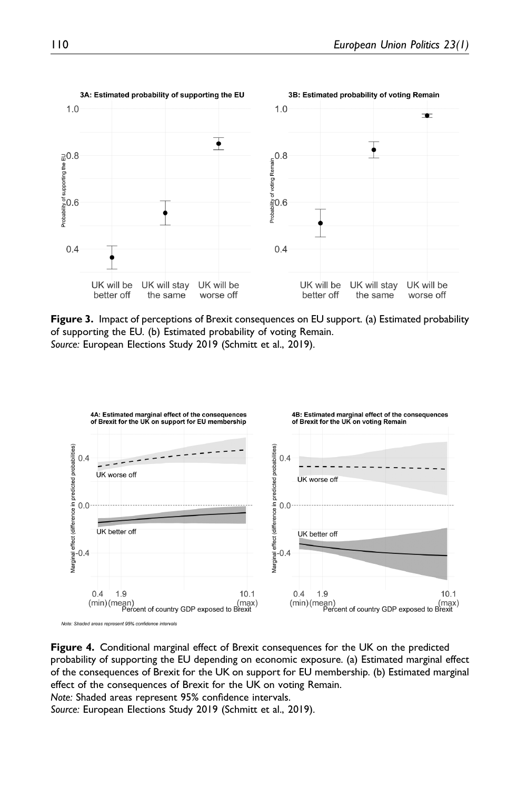

Figure 3. Impact of perceptions of Brexit consequences on EU support. (a) Estimated probability of supporting the EU. (b) Estimated probability of voting Remain. Source: European Elections Study 2019 (Schmitt et al., 2019).



Note: Shaded areas represent 95% confidence intervals

Figure 4. Conditional marginal effect of Brexit consequences for the UK on the predicted probability of supporting the EU depending on economic exposure. (a) Estimated marginal effect of the consequences of Brexit for the UK on support for EU membership. (b) Estimated marginal effect of the consequences of Brexit for the UK on voting Remain.

Note: Shaded areas represent 95% confidence intervals.

Source: European Elections Study 2019 (Schmitt et al., 2019).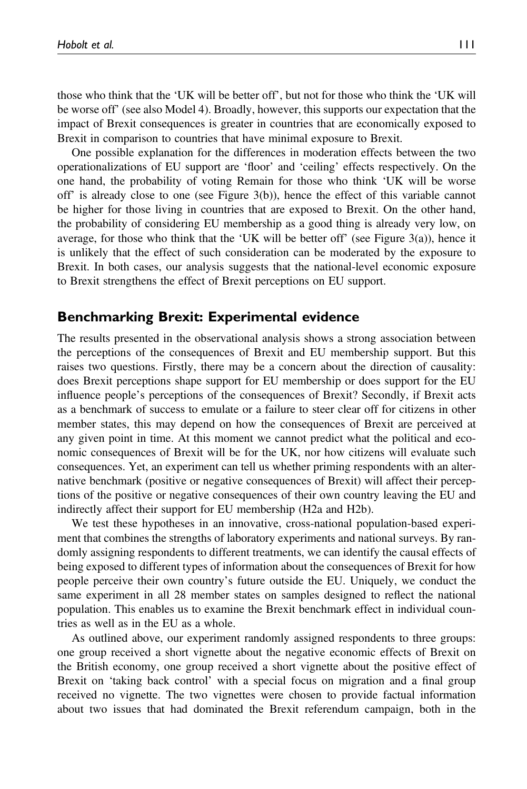those who think that the 'UK will be better off', but not for those who think the 'UK will be worse off' (see also Model 4). Broadly, however, this supports our expectation that the impact of Brexit consequences is greater in countries that are economically exposed to Brexit in comparison to countries that have minimal exposure to Brexit.

One possible explanation for the differences in moderation effects between the two operationalizations of EU support are 'floor' and 'ceiling' effects respectively. On the one hand, the probability of voting Remain for those who think 'UK will be worse off' is already close to one (see Figure 3(b)), hence the effect of this variable cannot be higher for those living in countries that are exposed to Brexit. On the other hand, the probability of considering EU membership as a good thing is already very low, on average, for those who think that the 'UK will be better off' (see Figure 3(a)), hence it is unlikely that the effect of such consideration can be moderated by the exposure to Brexit. In both cases, our analysis suggests that the national-level economic exposure to Brexit strengthens the effect of Brexit perceptions on EU support.

## Benchmarking Brexit: Experimental evidence

The results presented in the observational analysis shows a strong association between the perceptions of the consequences of Brexit and EU membership support. But this raises two questions. Firstly, there may be a concern about the direction of causality: does Brexit perceptions shape support for EU membership or does support for the EU influence people's perceptions of the consequences of Brexit? Secondly, if Brexit acts as a benchmark of success to emulate or a failure to steer clear off for citizens in other member states, this may depend on how the consequences of Brexit are perceived at any given point in time. At this moment we cannot predict what the political and economic consequences of Brexit will be for the UK, nor how citizens will evaluate such consequences. Yet, an experiment can tell us whether priming respondents with an alternative benchmark (positive or negative consequences of Brexit) will affect their perceptions of the positive or negative consequences of their own country leaving the EU and indirectly affect their support for EU membership (H2a and H2b).

We test these hypotheses in an innovative, cross-national population-based experiment that combines the strengths of laboratory experiments and national surveys. By randomly assigning respondents to different treatments, we can identify the causal effects of being exposed to different types of information about the consequences of Brexit for how people perceive their own country's future outside the EU. Uniquely, we conduct the same experiment in all 28 member states on samples designed to reflect the national population. This enables us to examine the Brexit benchmark effect in individual countries as well as in the EU as a whole.

As outlined above, our experiment randomly assigned respondents to three groups: one group received a short vignette about the negative economic effects of Brexit on the British economy, one group received a short vignette about the positive effect of Brexit on 'taking back control' with a special focus on migration and a final group received no vignette. The two vignettes were chosen to provide factual information about two issues that had dominated the Brexit referendum campaign, both in the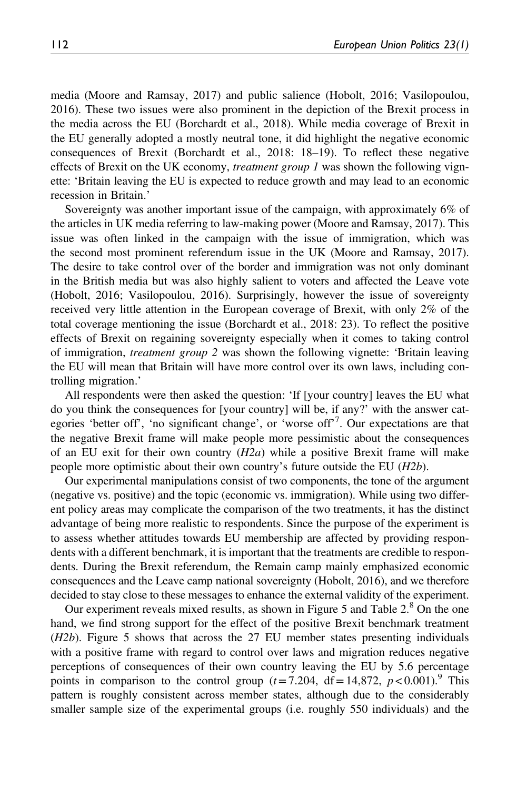media (Moore and Ramsay, 2017) and public salience (Hobolt, 2016; Vasilopoulou, 2016). These two issues were also prominent in the depiction of the Brexit process in the media across the EU (Borchardt et al., 2018). While media coverage of Brexit in the EU generally adopted a mostly neutral tone, it did highlight the negative economic consequences of Brexit (Borchardt et al., 2018: 18–19). To reflect these negative effects of Brexit on the UK economy, *treatment group 1* was shown the following vignette: 'Britain leaving the EU is expected to reduce growth and may lead to an economic recession in Britain.'

Sovereignty was another important issue of the campaign, with approximately 6% of the articles in UK media referring to law-making power (Moore and Ramsay, 2017). This issue was often linked in the campaign with the issue of immigration, which was the second most prominent referendum issue in the UK (Moore and Ramsay, 2017). The desire to take control over of the border and immigration was not only dominant in the British media but was also highly salient to voters and affected the Leave vote (Hobolt, 2016; Vasilopoulou, 2016). Surprisingly, however the issue of sovereignty received very little attention in the European coverage of Brexit, with only 2% of the total coverage mentioning the issue (Borchardt et al., 2018: 23). To reflect the positive effects of Brexit on regaining sovereignty especially when it comes to taking control of immigration, treatment group 2 was shown the following vignette: 'Britain leaving the EU will mean that Britain will have more control over its own laws, including controlling migration.'

All respondents were then asked the question: 'If [your country] leaves the EU what do you think the consequences for [your country] will be, if any?' with the answer categories 'better off', 'no significant change', or 'worse off'<sup>7</sup>. Our expectations are that the negative Brexit frame will make people more pessimistic about the consequences of an EU exit for their own country  $(H2a)$  while a positive Brexit frame will make people more optimistic about their own country's future outside the EU (H2b).

Our experimental manipulations consist of two components, the tone of the argument (negative vs. positive) and the topic (economic vs. immigration). While using two different policy areas may complicate the comparison of the two treatments, it has the distinct advantage of being more realistic to respondents. Since the purpose of the experiment is to assess whether attitudes towards EU membership are affected by providing respondents with a different benchmark, it is important that the treatments are credible to respondents. During the Brexit referendum, the Remain camp mainly emphasized economic consequences and the Leave camp national sovereignty (Hobolt, 2016), and we therefore decided to stay close to these messages to enhance the external validity of the experiment.

Our experiment reveals mixed results, as shown in Figure 5 and Table  $2.8^\circ$  On the one hand, we find strong support for the effect of the positive Brexit benchmark treatment (H2b). Figure 5 shows that across the 27 EU member states presenting individuals with a positive frame with regard to control over laws and migration reduces negative perceptions of consequences of their own country leaving the EU by 5.6 percentage points in comparison to the control group  $(t=7.204, df=14,872, p < 0.001)$ .<sup>9</sup> This pattern is roughly consistent across member states, although due to the considerably smaller sample size of the experimental groups (i.e. roughly 550 individuals) and the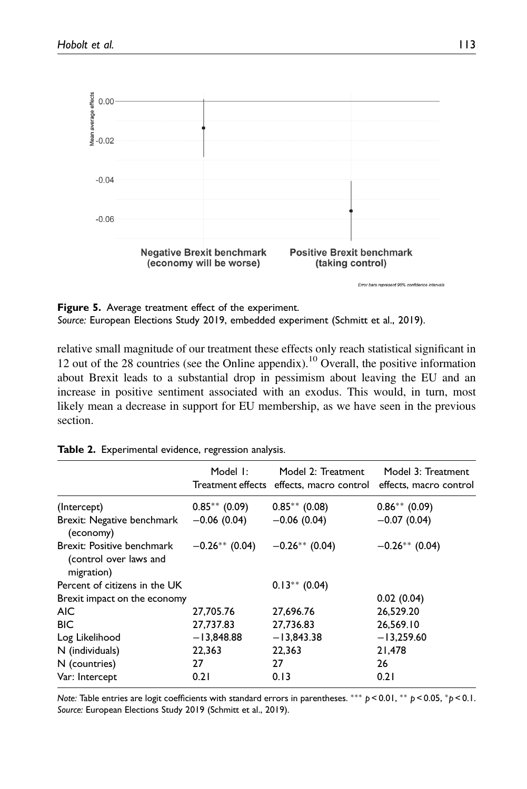

Figure 5. Average treatment effect of the experiment. Source: European Elections Study 2019, embedded experiment (Schmitt et al., 2019).

relative small magnitude of our treatment these effects only reach statistical significant in 12 out of the 28 countries (see the Online appendix).<sup>10</sup> Overall, the positive information about Brexit leads to a substantial drop in pessimism about leaving the EU and an increase in positive sentiment associated with an exodus. This would, in turn, most likely mean a decrease in support for EU membership, as we have seen in the previous section.

|                                                                    | Model 1:         | Model 2: Treatment<br>Treatment effects effects, macro control | Model 3: Treatment<br>effects, macro control |
|--------------------------------------------------------------------|------------------|----------------------------------------------------------------|----------------------------------------------|
| (Intercept)                                                        | $0.85**$ (0.09)  | $0.85**$ (0.08)                                                | $0.86**$ (0.09)                              |
| Brexit: Negative benchmark<br>(economy)                            | $-0.06(0.04)$    | $-0.06(0.04)$                                                  | $-0.07(0.04)$                                |
| Brexit: Positive benchmark<br>(control over laws and<br>migration) | $-0.26**$ (0.04) | $-0.26**$ (0.04)                                               | $-0.26**$ (0.04)                             |
| Percent of citizens in the UK                                      |                  | $0.13***$ (0.04)                                               |                                              |
| Brexit impact on the economy                                       |                  |                                                                | 0.02(0.04)                                   |
| <b>AIC</b>                                                         | 27,705.76        | 27,696.76                                                      | 26,529.20                                    |
| <b>BIC</b>                                                         | 27,737.83        | 27,736.83                                                      | 26,569.10                                    |
| Log Likelihood                                                     | $-13,848.88$     | $-13,843.38$                                                   | $-13,259.60$                                 |
| N (individuals)                                                    | 22,363           | 22,363                                                         | 21,478                                       |
| N (countries)                                                      | 27               | 27                                                             | 26                                           |
| Var: Intercept                                                     | 0.21             | 0.13                                                           | 0.21                                         |

Table 2. Experimental evidence, regression analysis.

Note: Table entries are logit coefficients with standard errors in parentheses. \*\*\* p < 0.01, \*\* p < 0.05, \*p < 0.1. Source: European Elections Study 2019 (Schmitt et al., 2019).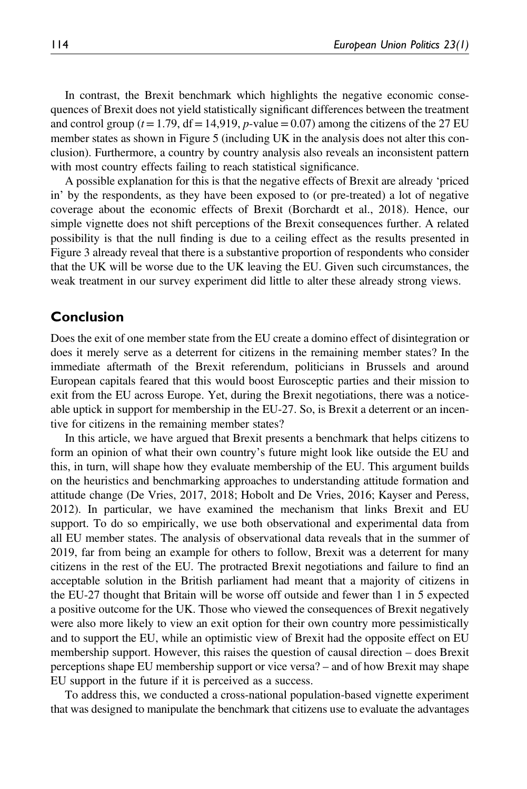In contrast, the Brexit benchmark which highlights the negative economic consequences of Brexit does not yield statistically significant differences between the treatment and control group ( $t=1.79$ , df = 14,919, p-value = 0.07) among the citizens of the 27 EU member states as shown in Figure 5 (including UK in the analysis does not alter this conclusion). Furthermore, a country by country analysis also reveals an inconsistent pattern with most country effects failing to reach statistical significance.

A possible explanation for this is that the negative effects of Brexit are already 'priced in' by the respondents, as they have been exposed to (or pre-treated) a lot of negative coverage about the economic effects of Brexit (Borchardt et al., 2018). Hence, our simple vignette does not shift perceptions of the Brexit consequences further. A related possibility is that the null finding is due to a ceiling effect as the results presented in Figure 3 already reveal that there is a substantive proportion of respondents who consider that the UK will be worse due to the UK leaving the EU. Given such circumstances, the weak treatment in our survey experiment did little to alter these already strong views.

### Conclusion

Does the exit of one member state from the EU create a domino effect of disintegration or does it merely serve as a deterrent for citizens in the remaining member states? In the immediate aftermath of the Brexit referendum, politicians in Brussels and around European capitals feared that this would boost Eurosceptic parties and their mission to exit from the EU across Europe. Yet, during the Brexit negotiations, there was a noticeable uptick in support for membership in the EU-27. So, is Brexit a deterrent or an incentive for citizens in the remaining member states?

In this article, we have argued that Brexit presents a benchmark that helps citizens to form an opinion of what their own country's future might look like outside the EU and this, in turn, will shape how they evaluate membership of the EU. This argument builds on the heuristics and benchmarking approaches to understanding attitude formation and attitude change (De Vries, 2017, 2018; Hobolt and De Vries, 2016; Kayser and Peress, 2012). In particular, we have examined the mechanism that links Brexit and EU support. To do so empirically, we use both observational and experimental data from all EU member states. The analysis of observational data reveals that in the summer of 2019, far from being an example for others to follow, Brexit was a deterrent for many citizens in the rest of the EU. The protracted Brexit negotiations and failure to find an acceptable solution in the British parliament had meant that a majority of citizens in the EU-27 thought that Britain will be worse off outside and fewer than 1 in 5 expected a positive outcome for the UK. Those who viewed the consequences of Brexit negatively were also more likely to view an exit option for their own country more pessimistically and to support the EU, while an optimistic view of Brexit had the opposite effect on EU membership support. However, this raises the question of causal direction – does Brexit perceptions shape EU membership support or vice versa? – and of how Brexit may shape EU support in the future if it is perceived as a success.

To address this, we conducted a cross-national population-based vignette experiment that was designed to manipulate the benchmark that citizens use to evaluate the advantages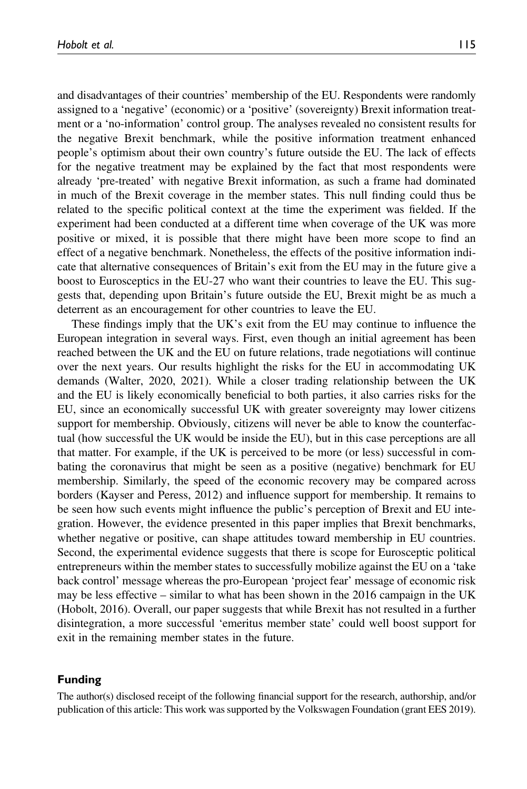and disadvantages of their countries' membership of the EU. Respondents were randomly assigned to a 'negative' (economic) or a 'positive' (sovereignty) Brexit information treatment or a 'no-information' control group. The analyses revealed no consistent results for the negative Brexit benchmark, while the positive information treatment enhanced people's optimism about their own country's future outside the EU. The lack of effects for the negative treatment may be explained by the fact that most respondents were already 'pre-treated' with negative Brexit information, as such a frame had dominated in much of the Brexit coverage in the member states. This null finding could thus be related to the specific political context at the time the experiment was fielded. If the experiment had been conducted at a different time when coverage of the UK was more positive or mixed, it is possible that there might have been more scope to find an effect of a negative benchmark. Nonetheless, the effects of the positive information indicate that alternative consequences of Britain's exit from the EU may in the future give a boost to Eurosceptics in the EU-27 who want their countries to leave the EU. This suggests that, depending upon Britain's future outside the EU, Brexit might be as much a deterrent as an encouragement for other countries to leave the EU.

These findings imply that the UK's exit from the EU may continue to influence the European integration in several ways. First, even though an initial agreement has been reached between the UK and the EU on future relations, trade negotiations will continue over the next years. Our results highlight the risks for the EU in accommodating UK demands (Walter, 2020, 2021). While a closer trading relationship between the UK and the EU is likely economically beneficial to both parties, it also carries risks for the EU, since an economically successful UK with greater sovereignty may lower citizens support for membership. Obviously, citizens will never be able to know the counterfactual (how successful the UK would be inside the EU), but in this case perceptions are all that matter. For example, if the UK is perceived to be more (or less) successful in combating the coronavirus that might be seen as a positive (negative) benchmark for EU membership. Similarly, the speed of the economic recovery may be compared across borders (Kayser and Peress, 2012) and influence support for membership. It remains to be seen how such events might influence the public's perception of Brexit and EU integration. However, the evidence presented in this paper implies that Brexit benchmarks, whether negative or positive, can shape attitudes toward membership in EU countries. Second, the experimental evidence suggests that there is scope for Eurosceptic political entrepreneurs within the member states to successfully mobilize against the EU on a 'take back control' message whereas the pro-European 'project fear' message of economic risk may be less effective – similar to what has been shown in the 2016 campaign in the UK (Hobolt, 2016). Overall, our paper suggests that while Brexit has not resulted in a further disintegration, a more successful 'emeritus member state' could well boost support for exit in the remaining member states in the future.

#### Funding

The author(s) disclosed receipt of the following financial support for the research, authorship, and/or publication of this article: This work was supported by the Volkswagen Foundation (grant EES 2019).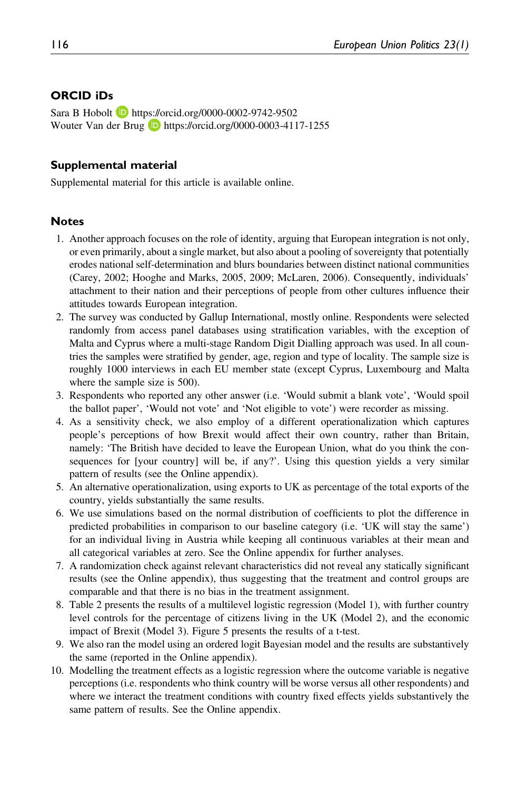### ORCID iDs

Sara B Hobolt **D** <https://orcid.org/0000-0002-9742-9502> Wouter Van der Brug **D** <https://orcid.org/0000-0003-4117-1255>

#### Supplemental material

Supplemental material for this article is available online.

#### **Notes**

- 1. Another approach focuses on the role of identity, arguing that European integration is not only, or even primarily, about a single market, but also about a pooling of sovereignty that potentially erodes national self-determination and blurs boundaries between distinct national communities (Carey, 2002; Hooghe and Marks, 2005, 2009; McLaren, 2006). Consequently, individuals' attachment to their nation and their perceptions of people from other cultures influence their attitudes towards European integration.
- 2. The survey was conducted by Gallup International, mostly online. Respondents were selected randomly from access panel databases using stratification variables, with the exception of Malta and Cyprus where a multi-stage Random Digit Dialling approach was used. In all countries the samples were stratified by gender, age, region and type of locality. The sample size is roughly 1000 interviews in each EU member state (except Cyprus, Luxembourg and Malta where the sample size is 500).
- 3. Respondents who reported any other answer (i.e. 'Would submit a blank vote', 'Would spoil the ballot paper', 'Would not vote' and 'Not eligible to vote') were recorder as missing.
- 4. As a sensitivity check, we also employ of a different operationalization which captures people's perceptions of how Brexit would affect their own country, rather than Britain, namely: 'The British have decided to leave the European Union, what do you think the consequences for [your country] will be, if any?'. Using this question yields a very similar pattern of results (see the Online appendix).
- 5. An alternative operationalization, using exports to UK as percentage of the total exports of the country, yields substantially the same results.
- 6. We use simulations based on the normal distribution of coefficients to plot the difference in predicted probabilities in comparison to our baseline category (i.e. 'UK will stay the same') for an individual living in Austria while keeping all continuous variables at their mean and all categorical variables at zero. See the Online appendix for further analyses.
- 7. A randomization check against relevant characteristics did not reveal any statically significant results (see the Online appendix), thus suggesting that the treatment and control groups are comparable and that there is no bias in the treatment assignment.
- 8. Table 2 presents the results of a multilevel logistic regression (Model 1), with further country level controls for the percentage of citizens living in the UK (Model 2), and the economic impact of Brexit (Model 3). Figure 5 presents the results of a t-test.
- 9. We also ran the model using an ordered logit Bayesian model and the results are substantively the same (reported in the Online appendix).
- 10. Modelling the treatment effects as a logistic regression where the outcome variable is negative perceptions (i.e. respondents who think country will be worse versus all other respondents) and where we interact the treatment conditions with country fixed effects yields substantively the same pattern of results. See the Online appendix.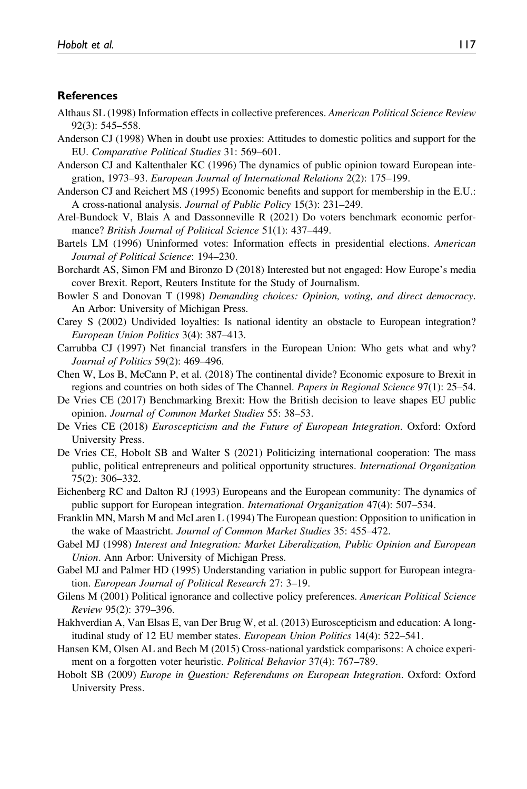#### References

- Althaus SL (1998) Information effects in collective preferences. American Political Science Review 92(3): 545–558.
- Anderson CJ (1998) When in doubt use proxies: Attitudes to domestic politics and support for the EU. Comparative Political Studies 31: 569–601.
- Anderson CJ and Kaltenthaler KC (1996) The dynamics of public opinion toward European integration, 1973–93. European Journal of International Relations 2(2): 175–199.
- Anderson CJ and Reichert MS (1995) Economic benefits and support for membership in the E.U.: A cross-national analysis. *Journal of Public Policy* 15(3): 231–249.
- Arel-Bundock V, Blais A and Dassonneville R (2021) Do voters benchmark economic performance? British Journal of Political Science 51(1): 437-449.
- Bartels LM (1996) Uninformed votes: Information effects in presidential elections. American Journal of Political Science: 194–230.
- Borchardt AS, Simon FM and Bironzo D (2018) Interested but not engaged: How Europe's media cover Brexit. Report, Reuters Institute for the Study of Journalism.
- Bowler S and Donovan T (1998) Demanding choices: Opinion, voting, and direct democracy. An Arbor: University of Michigan Press.
- Carey S (2002) Undivided loyalties: Is national identity an obstacle to European integration? European Union Politics 3(4): 387–413.
- Carrubba CJ (1997) Net financial transfers in the European Union: Who gets what and why? Journal of Politics 59(2): 469–496.
- Chen W, Los B, McCann P, et al. (2018) The continental divide? Economic exposure to Brexit in regions and countries on both sides of The Channel. Papers in Regional Science 97(1): 25–54.
- De Vries CE (2017) Benchmarking Brexit: How the British decision to leave shapes EU public opinion. Journal of Common Market Studies 55: 38–53.
- De Vries CE (2018) Euroscepticism and the Future of European Integration. Oxford: Oxford University Press.
- De Vries CE, Hobolt SB and Walter S (2021) Politicizing international cooperation: The mass public, political entrepreneurs and political opportunity structures. International Organization 75(2): 306–332.
- Eichenberg RC and Dalton RJ (1993) Europeans and the European community: The dynamics of public support for European integration. International Organization 47(4): 507-534.
- Franklin MN, Marsh M and McLaren L (1994) The European question: Opposition to unification in the wake of Maastricht. Journal of Common Market Studies 35: 455–472.
- Gabel MJ (1998) Interest and Integration: Market Liberalization, Public Opinion and European Union. Ann Arbor: University of Michigan Press.
- Gabel MJ and Palmer HD (1995) Understanding variation in public support for European integration. European Journal of Political Research 27: 3–19.
- Gilens M (2001) Political ignorance and collective policy preferences. American Political Science Review 95(2): 379–396.
- Hakhverdian A, Van Elsas E, van Der Brug W, et al. (2013) Euroscepticism and education: A longitudinal study of 12 EU member states. European Union Politics 14(4): 522–541.
- Hansen KM, Olsen AL and Bech M (2015) Cross-national yardstick comparisons: A choice experiment on a forgotten voter heuristic. Political Behavior 37(4): 767–789.
- Hobolt SB (2009) Europe in Question: Referendums on European Integration. Oxford: Oxford University Press.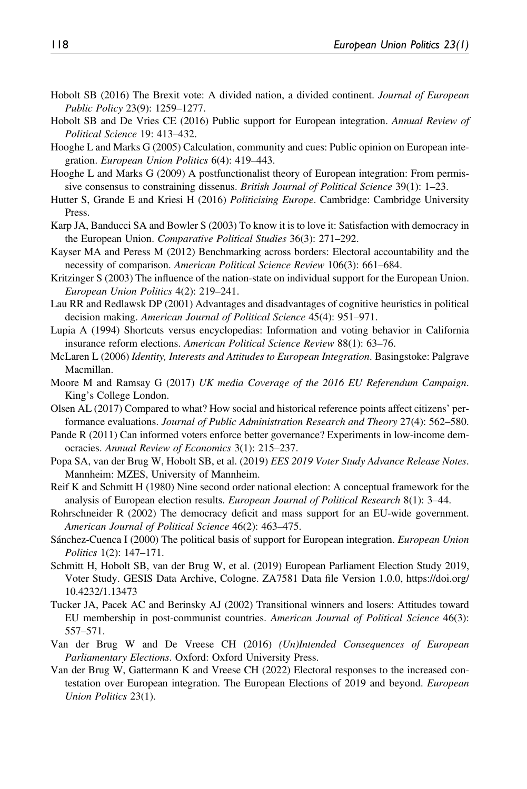- Hobolt SB (2016) The Brexit vote: A divided nation, a divided continent. Journal of European Public Policy 23(9): 1259–1277.
- Hobolt SB and De Vries CE (2016) Public support for European integration. Annual Review of Political Science 19: 413–432.
- Hooghe L and Marks G (2005) Calculation, community and cues: Public opinion on European integration. European Union Politics 6(4): 419–443.
- Hooghe L and Marks G (2009) A postfunctionalist theory of European integration: From permissive consensus to constraining dissenus. British Journal of Political Science 39(1): 1–23.
- Hutter S, Grande E and Kriesi H (2016) Politicising Europe. Cambridge: Cambridge University Press.
- Karp JA, Banducci SA and Bowler S (2003) To know it is to love it: Satisfaction with democracy in the European Union. Comparative Political Studies 36(3): 271–292.
- Kayser MA and Peress M (2012) Benchmarking across borders: Electoral accountability and the necessity of comparison. American Political Science Review 106(3): 661–684.
- Kritzinger S (2003) The influence of the nation-state on individual support for the European Union. European Union Politics 4(2): 219–241.
- Lau RR and Redlawsk DP (2001) Advantages and disadvantages of cognitive heuristics in political decision making. American Journal of Political Science 45(4): 951–971.
- Lupia A (1994) Shortcuts versus encyclopedias: Information and voting behavior in California insurance reform elections. American Political Science Review 88(1): 63–76.
- McLaren L (2006) Identity, Interests and Attitudes to European Integration. Basingstoke: Palgrave Macmillan.
- Moore M and Ramsay G (2017) UK media Coverage of the 2016 EU Referendum Campaign. King's College London.
- Olsen AL (2017) Compared to what? How social and historical reference points affect citizens' performance evaluations. Journal of Public Administration Research and Theory 27(4): 562–580.
- Pande R (2011) Can informed voters enforce better governance? Experiments in low-income democracies. Annual Review of Economics 3(1): 215–237.
- Popa SA, van der Brug W, Hobolt SB, et al. (2019) EES 2019 Voter Study Advance Release Notes. Mannheim: MZES, University of Mannheim.
- Reif K and Schmitt H (1980) Nine second order national election: A conceptual framework for the analysis of European election results. European Journal of Political Research 8(1): 3-44.
- Rohrschneider R (2002) The democracy deficit and mass support for an EU-wide government. American Journal of Political Science 46(2): 463–475.
- Sánchez-Cuenca I (2000) The political basis of support for European integration. *European Union* Politics 1(2): 147–171.
- Schmitt H, Hobolt SB, van der Brug W, et al. (2019) European Parliament Election Study 2019, Voter Study. GESIS Data Archive, Cologne. ZA7581 Data file Version 1.0.0, [https://doi.org/](https://doi.org/10.4232/1.13473) [10.4232/1.13473](https://doi.org/10.4232/1.13473)
- Tucker JA, Pacek AC and Berinsky AJ (2002) Transitional winners and losers: Attitudes toward EU membership in post-communist countries. American Journal of Political Science 46(3): 557–571.
- Van der Brug W and De Vreese CH (2016) (Un)Intended Consequences of European Parliamentary Elections. Oxford: Oxford University Press.
- Van der Brug W, Gattermann K and Vreese CH (2022) Electoral responses to the increased contestation over European integration. The European Elections of 2019 and beyond. *European* Union Politics 23(1).